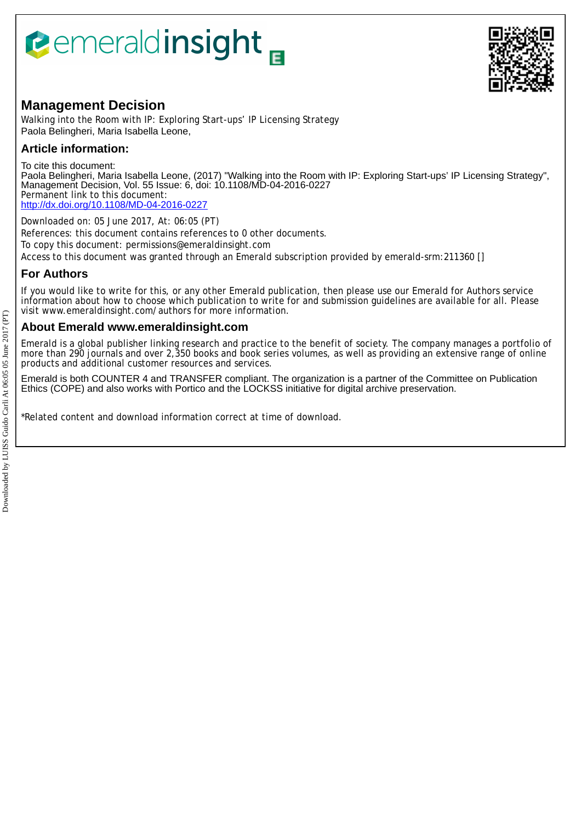# **Bemeraldinsight**



# **Management Decision**

Walking into the Room with IP: Exploring Start-ups' IP Licensing Strategy Paola Belingheri, Maria Isabella Leone,

# **Article information:**

To cite this document: Paola Belingheri, Maria Isabella Leone, (2017) "Walking into the Room with IP: Exploring Start-ups' IP Licensing Strategy", Management Decision, Vol. 55 Issue: 6, doi: 10.1108/MD-04-2016-0227 Permanent link to this document: <http://dx.doi.org/10.1108/MD-04-2016-0227>

Downloaded on: 05 June 2017, At: 06:05 (PT) References: this document contains references to 0 other documents. To copy this document: permissions@emeraldinsight.com Access to this document was granted through an Emerald subscription provided by emerald-srm:211360 []

# **For Authors**

If you would like to write for this, or any other Emerald publication, then please use our Emerald for Authors service information about how to choose which publication to write for and submission guidelines are available for all. Please visit www.emeraldinsight.com/authors for more information.

# **About Emerald www.emeraldinsight.com**

Emerald is a global publisher linking research and practice to the benefit of society. The company manages a portfolio of more than 290 journals and over 2,350 books and book series volumes, as well as providing an extensive range of online products and additional customer resources and services.

Emerald is both COUNTER 4 and TRANSFER compliant. The organization is a partner of the Committee on Publication Ethics (COPE) and also works with Portico and the LOCKSS initiative for digital archive preservation.

\*Related content and download information correct at time of download.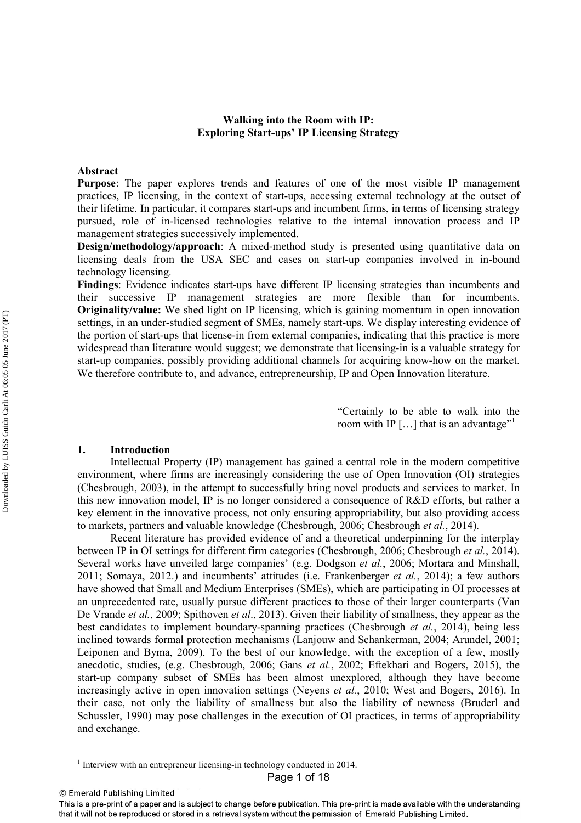#### **Walking into the Room with IP: Exploring Start-ups' IP Licensing Strategy**

#### **Abstract**

**Purpose**: The paper explores trends and features of one of the most visible IP management practices, IP licensing, in the context of start-ups, accessing external technology at the outset of their lifetime. In particular, it compares start-ups and incumbent firms, in terms of licensing strategy pursued, role of in-licensed technologies relative to the internal innovation process and IP management strategies successively implemented.

**Design/methodology/approach**: A mixed-method study is presented using quantitative data on licensing deals from the USA SEC and cases on start-up companies involved in in-bound technology licensing.

**Findings**: Evidence indicates start-ups have different IP licensing strategies than incumbents and their successive IP management strategies are more flexible than for incumbents. **Originality/value:** We shed light on IP licensing, which is gaining momentum in open innovation settings, in an under-studied segment of SMEs, namely start-ups. We display interesting evidence of the portion of start-ups that license-in from external companies, indicating that this practice is more widespread than literature would suggest; we demonstrate that licensing-in is a valuable strategy for start-up companies, possibly providing additional channels for acquiring know-how on the market. We therefore contribute to, and advance, entrepreneurship, IP and Open Innovation literature.

> "Certainly to be able to walk into the room with IP  $[\,\dots]$  that is an advantage"

#### **1. Introduction**

Intellectual Property (IP) management has gained a central role in the modern competitive environment, where firms are increasingly considering the use of Open Innovation (OI) strategies (Chesbrough, 2003), in the attempt to successfully bring novel products and services to market. In this new innovation model, IP is no longer considered a consequence of R&D efforts, but rather a key element in the innovative process, not only ensuring appropriability, but also providing access to markets, partners and valuable knowledge (Chesbrough, 2006; Chesbrough *et al.*, 2014).

Recent literature has provided evidence of and a theoretical underpinning for the interplay between IP in OI settings for different firm categories (Chesbrough, 2006; Chesbrough *et al.*, 2014). Several works have unveiled large companies' (e.g. Dodgson *et al.*, 2006; Mortara and Minshall, 2011; Somaya, 2012.) and incumbents' attitudes (i.e. Frankenberger *et al.*, 2014); a few authors have showed that Small and Medium Enterprises (SMEs), which are participating in OI processes at an unprecedented rate, usually pursue different practices to those of their larger counterparts (Van De Vrande *et al.*, 2009; Spithoven *et al*., 2013). Given their liability of smallness, they appear as the best candidates to implement boundary-spanning practices (Chesbrough *et al.*, 2014), being less inclined towards formal protection mechanisms (Lanjouw and Schankerman, 2004; Arundel, 2001; Leiponen and Byma, 2009). To the best of our knowledge, with the exception of a few, mostly anecdotic, studies, (e.g. Chesbrough, 2006; Gans *et al.*, 2002; Eftekhari and Bogers, 2015), the start-up company subset of SMEs has been almost unexplored, although they have become increasingly active in open innovation settings (Neyens *et al.*, 2010; West and Bogers, 2016). In their case, not only the liability of smallness but also the liability of newness (Bruderl and Schussler, 1990) may pose challenges in the execution of OI practices, in terms of appropriability and exchange.

Page 1 of 18

<sup>&</sup>lt;sup>1</sup> Interview with an entrepreneur licensing-in technology conducted in 2014.

<sup>©</sup> Emerald Publishing Limited

This is a pre-print of a paper and is subject to change before publication. This pre-print is made available with the understanding that it will not be reproduced or stored in a retrieval system without the permission of Emerald Publishing Limited.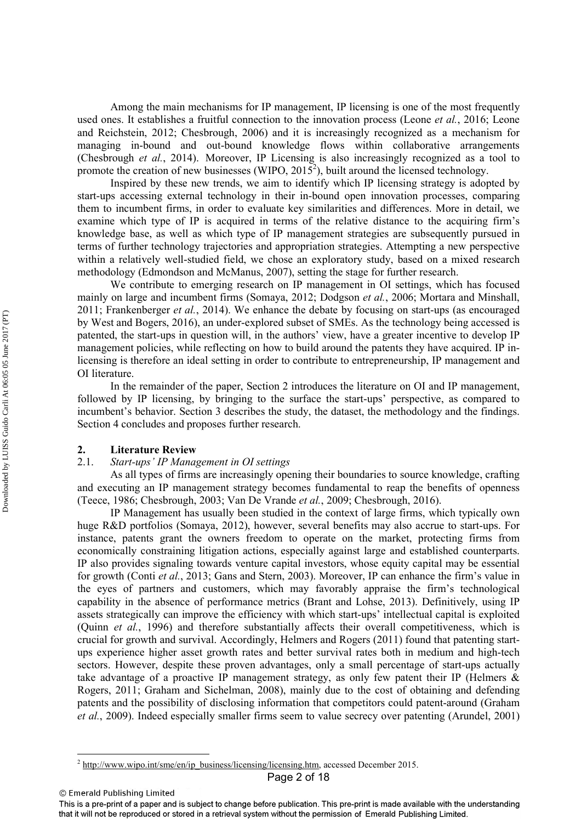Among the main mechanisms for IP management, IP licensing is one of the most frequently used ones. It establishes a fruitful connection to the innovation process (Leone *et al.*, 2016; Leone and Reichstein, 2012; Chesbrough, 2006) and it is increasingly recognized as a mechanism for managing in-bound and out-bound knowledge flows within collaborative arrangements (Chesbrough *et al.*, 2014). Moreover, IP Licensing is also increasingly recognized as a tool to promote the creation of new businesses (WIPO,  $201\overline{5}^2$ ), built around the licensed technology.

Inspired by these new trends, we aim to identify which IP licensing strategy is adopted by start-ups accessing external technology in their in-bound open innovation processes, comparing them to incumbent firms, in order to evaluate key similarities and differences. More in detail, we examine which type of IP is acquired in terms of the relative distance to the acquiring firm's knowledge base, as well as which type of IP management strategies are subsequently pursued in terms of further technology trajectories and appropriation strategies. Attempting a new perspective within a relatively well-studied field, we chose an exploratory study, based on a mixed research methodology (Edmondson and McManus, 2007), setting the stage for further research.

We contribute to emerging research on IP management in OI settings, which has focused mainly on large and incumbent firms (Somaya, 2012; Dodgson *et al.*, 2006; Mortara and Minshall, 2011; Frankenberger *et al.*, 2014). We enhance the debate by focusing on start-ups (as encouraged by West and Bogers, 2016), an under-explored subset of SMEs. As the technology being accessed is patented, the start-ups in question will, in the authors' view, have a greater incentive to develop IP management policies, while reflecting on how to build around the patents they have acquired. IP inlicensing is therefore an ideal setting in order to contribute to entrepreneurship, IP management and OI literature.

In the remainder of the paper, Section 2 introduces the literature on OI and IP management, followed by IP licensing, by bringing to the surface the start-ups' perspective, as compared to incumbent's behavior. Section 3 describes the study, the dataset, the methodology and the findings. Section 4 concludes and proposes further research.

#### **2. Literature Review**

#### 2.1. *Start-ups' IP Management in OI settings*

As all types of firms are increasingly opening their boundaries to source knowledge, crafting and executing an IP management strategy becomes fundamental to reap the benefits of openness (Teece, 1986; Chesbrough, 2003; Van De Vrande *et al.*, 2009; Chesbrough, 2016).

 IP Management has usually been studied in the context of large firms, which typically own huge R&D portfolios (Somaya, 2012), however, several benefits may also accrue to start-ups. For instance, patents grant the owners freedom to operate on the market, protecting firms from economically constraining litigation actions, especially against large and established counterparts. IP also provides signaling towards venture capital investors, whose equity capital may be essential for growth (Conti *et al.*, 2013; Gans and Stern, 2003). Moreover, IP can enhance the firm's value in the eyes of partners and customers, which may favorably appraise the firm's technological capability in the absence of performance metrics (Brant and Lohse, 2013). Definitively, using IP assets strategically can improve the efficiency with which start-ups' intellectual capital is exploited (Quinn *et al.*, 1996) and therefore substantially affects their overall competitiveness, which is crucial for growth and survival. Accordingly, Helmers and Rogers (2011) found that patenting startups experience higher asset growth rates and better survival rates both in medium and high-tech sectors. However, despite these proven advantages, only a small percentage of start-ups actually take advantage of a proactive IP management strategy, as only few patent their IP (Helmers & Rogers, 2011; Graham and Sichelman, 2008), mainly due to the cost of obtaining and defending patents and the possibility of disclosing information that competitors could patent-around (Graham *et al.*, 2009). Indeed especially smaller firms seem to value secrecy over patenting (Arundel, 2001)

Page 2 of 18

 $2 \frac{\text{http://www.wipo.int/sme/en/ip_buss/licensing/licensing.htm}}{\text{http://www.wipo.int/sme/en/ip_buss/licensing/licensing.htm}}$ , accessed December 2015.

<sup>©</sup> Emerald Publishing Limited

This is a pre-print of a paper and is subject to change before publication. This pre-print is made available with the understanding that it will not be reproduced or stored in a retrieval system without the permission of Emerald Publishing Limited.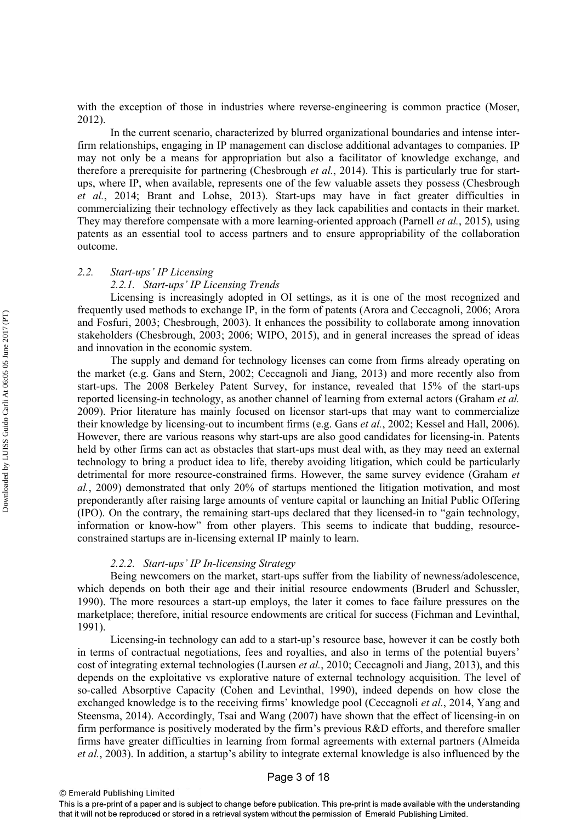with the exception of those in industries where reverse-engineering is common practice (Moser, 2012).

 In the current scenario, characterized by blurred organizational boundaries and intense interfirm relationships, engaging in IP management can disclose additional advantages to companies. IP may not only be a means for appropriation but also a facilitator of knowledge exchange, and therefore a prerequisite for partnering (Chesbrough *et al.*, 2014). This is particularly true for startups, where IP, when available, represents one of the few valuable assets they possess (Chesbrough *et al.*, 2014; Brant and Lohse, 2013). Start-ups may have in fact greater difficulties in commercializing their technology effectively as they lack capabilities and contacts in their market. They may therefore compensate with a more learning-oriented approach (Parnell *et al.*, 2015), using patents as an essential tool to access partners and to ensure appropriability of the collaboration outcome.

#### *2.2. Start-ups' IP Licensing*

#### *2.2.1. Start-ups' IP Licensing Trends*

 Licensing is increasingly adopted in OI settings, as it is one of the most recognized and frequently used methods to exchange IP, in the form of patents (Arora and Ceccagnoli, 2006; Arora and Fosfuri, 2003; Chesbrough, 2003). It enhances the possibility to collaborate among innovation stakeholders (Chesbrough, 2003; 2006; WIPO, 2015), and in general increases the spread of ideas and innovation in the economic system.

The supply and demand for technology licenses can come from firms already operating on the market (e.g. Gans and Stern, 2002; Ceccagnoli and Jiang, 2013) and more recently also from start-ups. The 2008 Berkeley Patent Survey, for instance, revealed that 15% of the start-ups reported licensing-in technology, as another channel of learning from external actors (Graham *et al.* 2009). Prior literature has mainly focused on licensor start-ups that may want to commercialize their knowledge by licensing-out to incumbent firms (e.g. Gans *et al.*, 2002; Kessel and Hall, 2006). However, there are various reasons why start-ups are also good candidates for licensing-in. Patents held by other firms can act as obstacles that start-ups must deal with, as they may need an external technology to bring a product idea to life, thereby avoiding litigation, which could be particularly detrimental for more resource-constrained firms. However, the same survey evidence (Graham *et al.*, 2009) demonstrated that only 20% of startups mentioned the litigation motivation, and most preponderantly after raising large amounts of venture capital or launching an Initial Public Offering (IPO). On the contrary, the remaining start-ups declared that they licensed-in to "gain technology, information or know-how" from other players. This seems to indicate that budding, resourceconstrained startups are in-licensing external IP mainly to learn.

#### *2.2.2. Start-ups' IP In-licensing Strategy*

Being newcomers on the market, start-ups suffer from the liability of newness/adolescence, which depends on both their age and their initial resource endowments (Bruderl and Schussler, 1990). The more resources a start-up employs, the later it comes to face failure pressures on the marketplace; therefore, initial resource endowments are critical for success (Fichman and Levinthal, 1991).

Licensing-in technology can add to a start-up's resource base, however it can be costly both in terms of contractual negotiations, fees and royalties, and also in terms of the potential buyers' cost of integrating external technologies (Laursen *et al.*, 2010; Ceccagnoli and Jiang, 2013), and this depends on the exploitative vs explorative nature of external technology acquisition. The level of so-called Absorptive Capacity (Cohen and Levinthal, 1990), indeed depends on how close the exchanged knowledge is to the receiving firms' knowledge pool (Ceccagnoli *et al.*, 2014, Yang and Steensma, 2014). Accordingly, Tsai and Wang (2007) have shown that the effect of licensing-in on firm performance is positively moderated by the firm's previous R&D efforts, and therefore smaller firms have greater difficulties in learning from formal agreements with external partners (Almeida *et al.*, 2003). In addition, a startup's ability to integrate external knowledge is also influenced by the

## Page 3 of 18

© Emerald Publishing Limited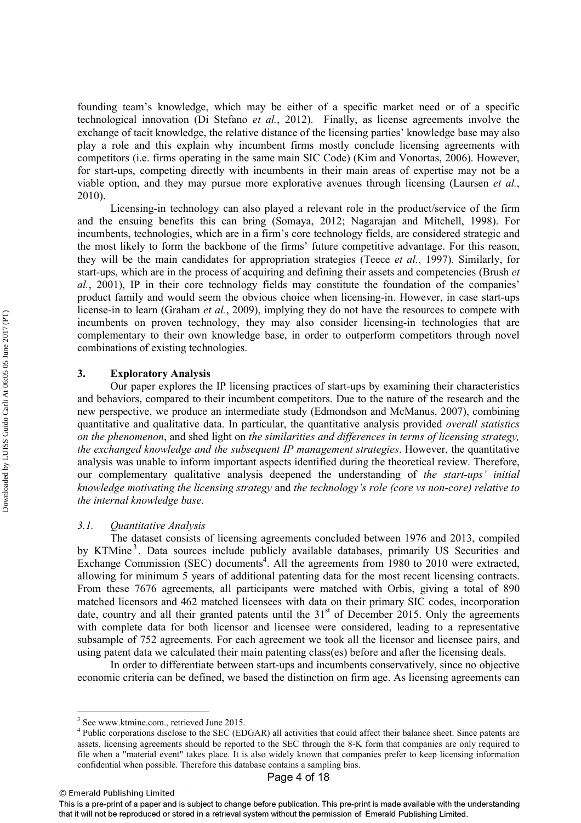founding team's knowledge, which may be either of a specific market need or of a specific technological innovation (Di Stefano *et al.*, 2012). Finally, as license agreements involve the exchange of tacit knowledge, the relative distance of the licensing parties' knowledge base may also play a role and this explain why incumbent firms mostly conclude licensing agreements with competitors (i.e. firms operating in the same main SIC Code) (Kim and Vonortas, 2006). However, for start-ups, competing directly with incumbents in their main areas of expertise may not be a viable option, and they may pursue more explorative avenues through licensing (Laursen *et al.*, 2010).

Licensing-in technology can also played a relevant role in the product/service of the firm and the ensuing benefits this can bring (Somaya, 2012; Nagarajan and Mitchell, 1998). For incumbents, technologies, which are in a firm's core technology fields, are considered strategic and the most likely to form the backbone of the firms' future competitive advantage. For this reason, they will be the main candidates for appropriation strategies (Teece *et al.*, 1997). Similarly, for start-ups, which are in the process of acquiring and defining their assets and competencies (Brush *et al.*, 2001), IP in their core technology fields may constitute the foundation of the companies' product family and would seem the obvious choice when licensing-in. However, in case start-ups license-in to learn (Graham *et al.*, 2009), implying they do not have the resources to compete with incumbents on proven technology, they may also consider licensing-in technologies that are complementary to their own knowledge base, in order to outperform competitors through novel combinations of existing technologies.

#### **3. Exploratory Analysis**

 Our paper explores the IP licensing practices of start-ups by examining their characteristics and behaviors, compared to their incumbent competitors. Due to the nature of the research and the new perspective, we produce an intermediate study (Edmondson and McManus, 2007), combining quantitative and qualitative data. In particular, the quantitative analysis provided *overall statistics on the phenomenon*, and shed light on *the similarities and differences in terms of licensing strategy, the exchanged knowledge and the subsequent IP management strategies*. However, the quantitative analysis was unable to inform important aspects identified during the theoretical review. Therefore, our complementary qualitative analysis deepened the understanding of *the start-ups' initial knowledge motivating the licensing strategy* and *the technology's role (core vs non-core) relative to the internal knowledge base*.

#### *3.1. Quantitative Analysis*

 The dataset consists of licensing agreements concluded between 1976 and 2013, compiled by KTMine<sup>3</sup>. Data sources include publicly available databases, primarily US Securities and Exchange Commission (SEC) documents<sup>4</sup>. All the agreements from 1980 to 2010 were extracted, allowing for minimum 5 years of additional patenting data for the most recent licensing contracts. From these 7676 agreements, all participants were matched with Orbis, giving a total of 890 matched licensors and 462 matched licensees with data on their primary SIC codes, incorporation date, country and all their granted patents until the 31<sup>st</sup> of December 2015. Only the agreements with complete data for both licensor and licensee were considered, leading to a representative subsample of 752 agreements. For each agreement we took all the licensor and licensee pairs, and using patent data we calculated their main patenting class(es) before and after the licensing deals.

 In order to differentiate between start-ups and incumbents conservatively, since no objective economic criteria can be defined, we based the distinction on firm age. As licensing agreements can

<sup>&</sup>lt;sup>3</sup> See www.ktmine.com., retrieved June 2015.

<sup>&</sup>lt;sup>4</sup> Public corporations disclose to the SEC (EDGAR) all activities that could affect their balance sheet. Since patents are assets, licensing agreements should be reported to the SEC through the 8-K form that companies are only required to file when a "material event" takes place. It is also widely known that companies prefer to keep licensing information confidential when possible. Therefore this database contains a sampling bias.

This is a pre-print of a paper and is subject to change before publication. This pre-print is made available with the understanding that it will not be reproduced or stored in a retrieval system without the permission of Emerald Publishing Limited.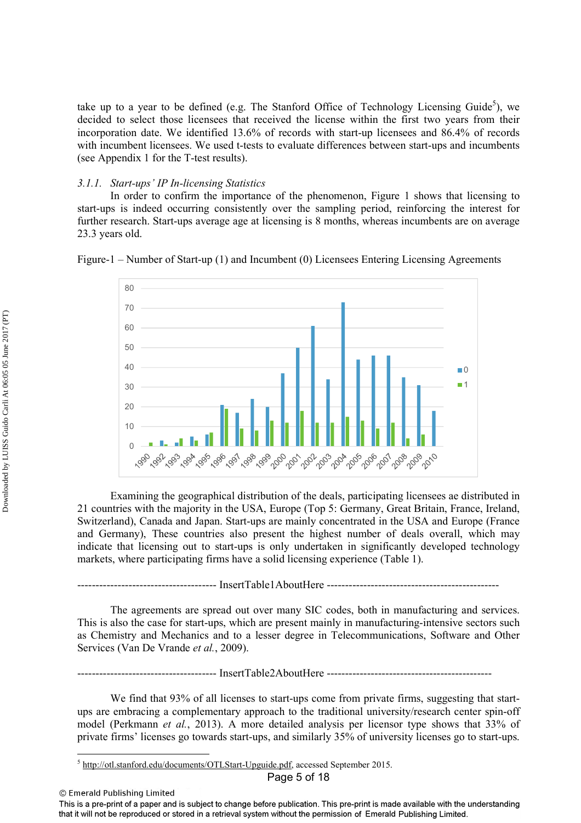take up to a year to be defined (e.g. The Stanford Office of Technology Licensing Guide<sup>5</sup>), we decided to select those licensees that received the license within the first two years from their incorporation date. We identified 13.6% of records with start-up licensees and 86.4% of records with incumbent licensees. We used t-tests to evaluate differences between start-ups and incumbents (see Appendix 1 for the T-test results).

#### *3.1.1. Start-ups' IP In-licensing Statistics*

 In order to confirm the importance of the phenomenon, Figure 1 shows that licensing to start-ups is indeed occurring consistently over the sampling period, reinforcing the interest for further research. Start-ups average age at licensing is 8 months, whereas incumbents are on average 23.3 years old.



Figure-1 – Number of Start-up (1) and Incumbent (0) Licensees Entering Licensing Agreements

 Examining the geographical distribution of the deals, participating licensees ae distributed in 21 countries with the majority in the USA, Europe (Top 5: Germany, Great Britain, France, Ireland, Switzerland), Canada and Japan. Start-ups are mainly concentrated in the USA and Europe (France and Germany), These countries also present the highest number of deals overall, which may indicate that licensing out to start-ups is only undertaken in significantly developed technology markets, where participating firms have a solid licensing experience (Table 1).

-------------------------------------- InsertTable1AboutHere -----------------------------------------------

 The agreements are spread out over many SIC codes, both in manufacturing and services. This is also the case for start-ups, which are present mainly in manufacturing-intensive sectors such as Chemistry and Mechanics and to a lesser degree in Telecommunications, Software and Other Services (Van De Vrande *et al.*, 2009).

-------------------------------------- InsertTable2AboutHere ---------------------------------------------

We find that 93% of all licenses to start-ups come from private firms, suggesting that startups are embracing a complementary approach to the traditional university/research center spin-off model (Perkmann *et al.*, 2013). A more detailed analysis per licensor type shows that 33% of private firms' licenses go towards start-ups, and similarly 35% of university licenses go to start-ups.

Page 5 of 18

© Emerald Publishing Limited

 $<sup>5</sup>$  http://otl.stanford.edu/documents/OTLStart-Upguide.pdf, accessed September 2015.</sup>

This is a pre-print of a paper and is subject to change before publication. This pre-print is made available with the understanding that it will not be reproduced or stored in a retrieval system without the permission of Emerald Publishing Limited.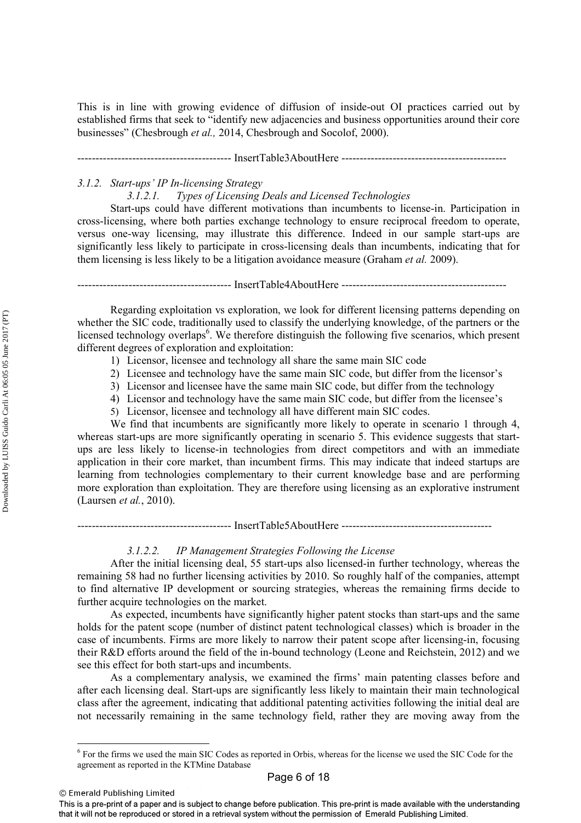This is in line with growing evidence of diffusion of inside-out OI practices carried out by established firms that seek to "identify new adjacencies and business opportunities around their core businesses" (Chesbrough *et al.,* 2014, Chesbrough and Socolof, 2000).

------------------------------------------ InsertTable3AboutHere ---------------------------------------------

## *3.1.2. Start-ups' IP In-licensing Strategy*

#### *3.1.2.1. Types of Licensing Deals and Licensed Technologies*

 Start-ups could have different motivations than incumbents to license-in. Participation in cross-licensing, where both parties exchange technology to ensure reciprocal freedom to operate, versus one-way licensing, may illustrate this difference. Indeed in our sample start-ups are significantly less likely to participate in cross-licensing deals than incumbents, indicating that for them licensing is less likely to be a litigation avoidance measure (Graham *et al.* 2009).

------------------------------------------ InsertTable4AboutHere ---------------------------------------------

Regarding exploitation vs exploration, we look for different licensing patterns depending on whether the SIC code, traditionally used to classify the underlying knowledge, of the partners or the licensed technology overlaps<sup>6</sup>. We therefore distinguish the following five scenarios, which present different degrees of exploration and exploitation:

- 1) Licensor, licensee and technology all share the same main SIC code
- 2) Licensee and technology have the same main SIC code, but differ from the licensor's
- 3) Licensor and licensee have the same main SIC code, but differ from the technology
- 4) Licensor and technology have the same main SIC code, but differ from the licensee's
- 5) Licensor, licensee and technology all have different main SIC codes.

We find that incumbents are significantly more likely to operate in scenario 1 through 4, whereas start-ups are more significantly operating in scenario 5. This evidence suggests that startups are less likely to license-in technologies from direct competitors and with an immediate application in their core market, than incumbent firms. This may indicate that indeed startups are learning from technologies complementary to their current knowledge base and are performing more exploration than exploitation. They are therefore using licensing as an explorative instrument (Laursen *et al.*, 2010).

------------------------------------------ InsertTable5AboutHere -----------------------------------------

#### *3.1.2.2. IP Management Strategies Following the License*

 After the initial licensing deal, 55 start-ups also licensed-in further technology, whereas the remaining 58 had no further licensing activities by 2010. So roughly half of the companies, attempt to find alternative IP development or sourcing strategies, whereas the remaining firms decide to further acquire technologies on the market.

 As expected, incumbents have significantly higher patent stocks than start-ups and the same holds for the patent scope (number of distinct patent technological classes) which is broader in the case of incumbents. Firms are more likely to narrow their patent scope after licensing-in, focusing their R&D efforts around the field of the in-bound technology (Leone and Reichstein, 2012) and we see this effect for both start-ups and incumbents.

As a complementary analysis, we examined the firms' main patenting classes before and after each licensing deal. Start-ups are significantly less likely to maintain their main technological class after the agreement, indicating that additional patenting activities following the initial deal are not necessarily remaining in the same technology field, rather they are moving away from the

© Emerald Publishing Limited

<sup>&</sup>lt;sup>6</sup> For the firms we used the main SIC Codes as reported in Orbis, whereas for the license we used the SIC Code for the agreement as reported in the KTMine Database

This is a pre-print of a paper and is subject to change before publication. This pre-print is made available with the understanding that it will not be reproduced or stored in a retrieval system without the permission of Emerald Publishing Limited.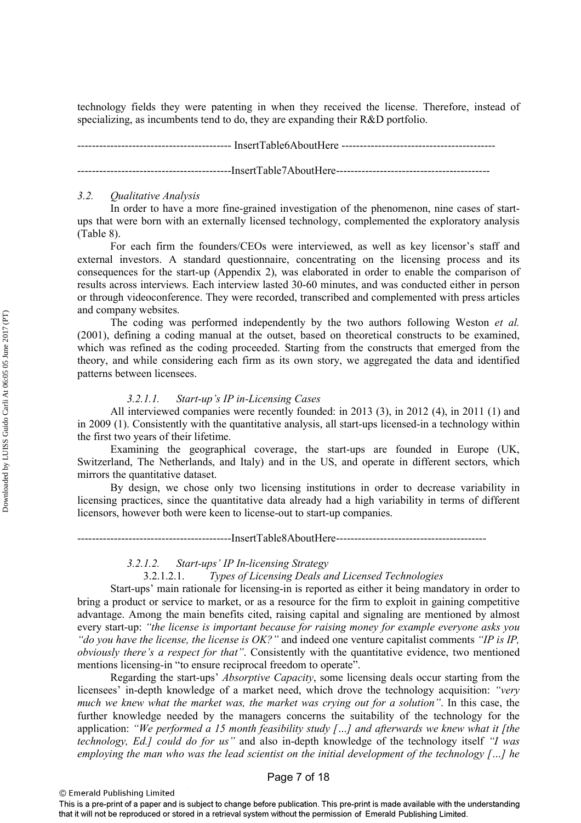technology fields they were patenting in when they received the license. Therefore, instead of specializing, as incumbents tend to do, they are expanding their R&D portfolio.

------------------------------------------ InsertTable6AboutHere ------------------------------------------ ------------------------------------------InsertTable7AboutHere------------------------------------------

#### *3.2. Qualitative Analysis*

In order to have a more fine-grained investigation of the phenomenon, nine cases of startups that were born with an externally licensed technology, complemented the exploratory analysis (Table 8).

For each firm the founders/CEOs were interviewed, as well as key licensor's staff and external investors. A standard questionnaire, concentrating on the licensing process and its consequences for the start-up (Appendix 2), was elaborated in order to enable the comparison of results across interviews. Each interview lasted 30-60 minutes, and was conducted either in person or through videoconference. They were recorded, transcribed and complemented with press articles and company websites.

 The coding was performed independently by the two authors following Weston *et al.* (2001), defining a coding manual at the outset, based on theoretical constructs to be examined, which was refined as the coding proceeded. Starting from the constructs that emerged from the theory, and while considering each firm as its own story, we aggregated the data and identified patterns between licensees.

#### *3.2.1.1. Start-up's IP in-Licensing Cases*

 All interviewed companies were recently founded: in 2013 (3), in 2012 (4), in 2011 (1) and in 2009 (1). Consistently with the quantitative analysis, all start-ups licensed-in a technology within the first two years of their lifetime.

Examining the geographical coverage, the start-ups are founded in Europe (UK, Switzerland, The Netherlands, and Italy) and in the US, and operate in different sectors, which mirrors the quantitative dataset.

By design, we chose only two licensing institutions in order to decrease variability in licensing practices, since the quantitative data already had a high variability in terms of different licensors, however both were keen to license-out to start-up companies.

------------------------------------------InsertTable8AboutHere-----------------------------------------

#### *3.2.1.2. Start-ups' IP In-licensing Strategy*

#### 3.2.1.2.1. *Types of Licensing Deals and Licensed Technologies*

Start-ups' main rationale for licensing-in is reported as either it being mandatory in order to bring a product or service to market, or as a resource for the firm to exploit in gaining competitive advantage. Among the main benefits cited, raising capital and signaling are mentioned by almost every start-up: *"the license is important because for raising money for example everyone asks you "do you have the license, the license is OK?"* and indeed one venture capitalist comments *"IP is IP, obviously there's a respect for that"*. Consistently with the quantitative evidence, two mentioned mentions licensing-in "to ensure reciprocal freedom to operate".

 Regarding the start-ups' *Absorptive Capacity*, some licensing deals occur starting from the licensees' in-depth knowledge of a market need, which drove the technology acquisition: *"very much we knew what the market was, the market was crying out for a solution"*. In this case, the further knowledge needed by the managers concerns the suitability of the technology for the application: *"We performed a 15 month feasibility study […] and afterwards we knew what it [the technology, Ed.] could do for us"* and also in-depth knowledge of the technology itself *"I was employing the man who was the lead scientist on the initial development of the technology […] he* 

#### Page 7 of 18

This is a pre-print of a paper and is subject to change before publication. This pre-print is made available with the understanding that it will not be reproduced or stored in a retrieval system without the permission of Emerald Publishing Limited.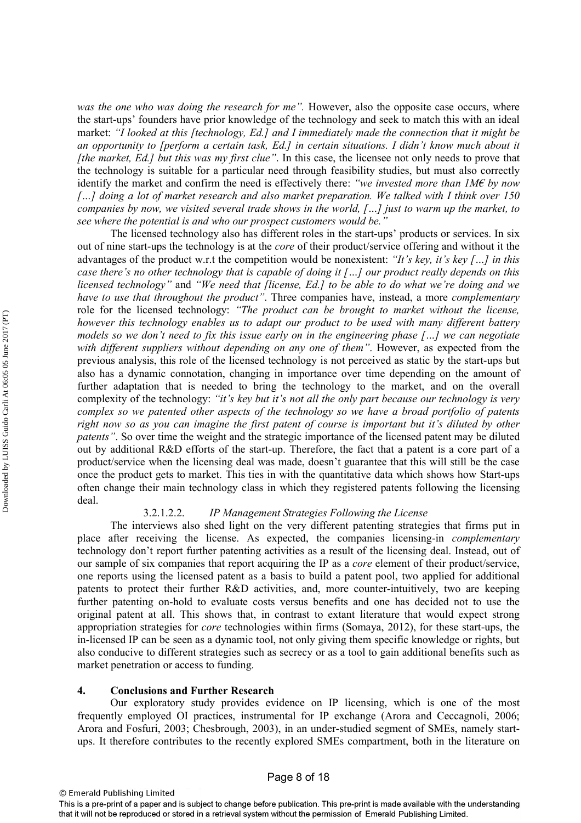*was the one who was doing the research for me".* However, also the opposite case occurs, where the start-ups' founders have prior knowledge of the technology and seek to match this with an ideal market: *"I looked at this [technology, Ed.] and I immediately made the connection that it might be an opportunity to [perform a certain task, Ed.] in certain situations. I didn't know much about it [the market, Ed.] but this was my first clue"*. In this case, the licensee not only needs to prove that the technology is suitable for a particular need through feasibility studies, but must also correctly identify the market and confirm the need is effectively there: *"we invested more than 1M€ by now*  [...] doing a lot of market research and also market preparation. We talked with I think over 150 *companies by now, we visited several trade shows in the world, […] just to warm up the market, to see where the potential is and who our prospect customers would be."*

 The licensed technology also has different roles in the start-ups' products or services. In six out of nine start-ups the technology is at the *core* of their product/service offering and without it the advantages of the product w.r.t the competition would be nonexistent: *"It's key, it's key […] in this case there's no other technology that is capable of doing it […] our product really depends on this licensed technology"* and *"We need that [license, Ed.] to be able to do what we're doing and we have to use that throughout the product"*. Three companies have, instead, a more *complementary* role for the licensed technology: *"The product can be brought to market without the license, however this technology enables us to adapt our product to be used with many different battery models so we don't need to fix this issue early on in the engineering phase […] we can negotiate with different suppliers without depending on any one of them"*. However, as expected from the previous analysis, this role of the licensed technology is not perceived as static by the start-ups but also has a dynamic connotation, changing in importance over time depending on the amount of further adaptation that is needed to bring the technology to the market, and on the overall complexity of the technology: *"it's key but it's not all the only part because our technology is very complex so we patented other aspects of the technology so we have a broad portfolio of patents right now so as you can imagine the first patent of course is important but it's diluted by other patents"*. So over time the weight and the strategic importance of the licensed patent may be diluted out by additional R&D efforts of the start-up. Therefore, the fact that a patent is a core part of a product/service when the licensing deal was made, doesn't guarantee that this will still be the case once the product gets to market. This ties in with the quantitative data which shows how Start-ups often change their main technology class in which they registered patents following the licensing deal.

#### 3.2.1.2.2. *IP Management Strategies Following the License*

 The interviews also shed light on the very different patenting strategies that firms put in place after receiving the license. As expected, the companies licensing-in *complementary*  technology don't report further patenting activities as a result of the licensing deal. Instead, out of our sample of six companies that report acquiring the IP as a *core* element of their product/service, one reports using the licensed patent as a basis to build a patent pool, two applied for additional patents to protect their further R&D activities, and, more counter-intuitively, two are keeping further patenting on-hold to evaluate costs versus benefits and one has decided not to use the original patent at all. This shows that, in contrast to extant literature that would expect strong appropriation strategies for *core* technologies within firms (Somaya, 2012), for these start-ups, the in-licensed IP can be seen as a dynamic tool, not only giving them specific knowledge or rights, but also conducive to different strategies such as secrecy or as a tool to gain additional benefits such as market penetration or access to funding.

#### **4. Conclusions and Further Research**

Our exploratory study provides evidence on IP licensing, which is one of the most frequently employed OI practices, instrumental for IP exchange (Arora and Ceccagnoli, 2006; Arora and Fosfuri, 2003; Chesbrough, 2003), in an under-studied segment of SMEs, namely startups. It therefore contributes to the recently explored SMEs compartment, both in the literature on

This is a pre-print of a paper and is subject to change before publication. This pre-print is made available with the understanding that it will not be reproduced or stored in a retrieval system without the permission of Emerald Publishing Limited.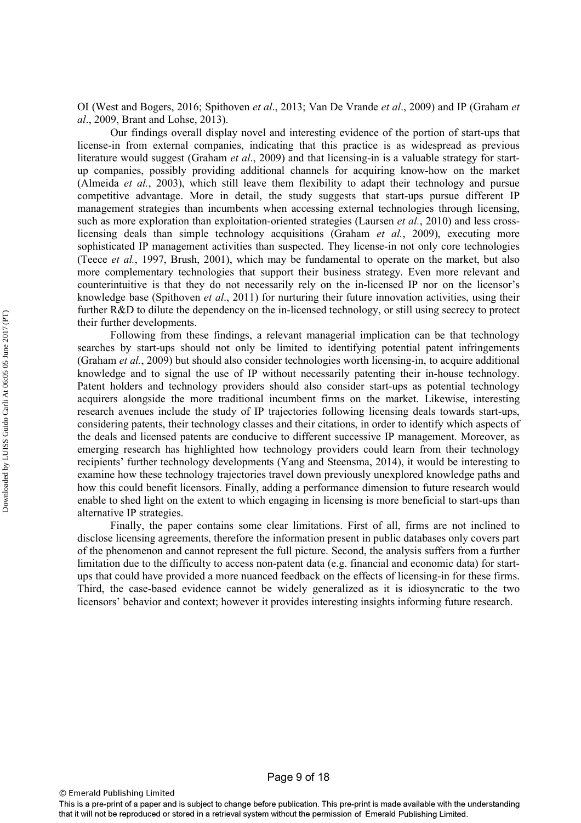OI (West and Bogers, 2016; Spithoven *et al*., 2013; Van De Vrande *et al*., 2009) and IP (Graham *et al*., 2009, Brant and Lohse, 2013).

Our findings overall display novel and interesting evidence of the portion of start-ups that license-in from external companies, indicating that this practice is as widespread as previous literature would suggest (Graham *et al*., 2009) and that licensing-in is a valuable strategy for startup companies, possibly providing additional channels for acquiring know-how on the market (Almeida *et al.*, 2003), which still leave them flexibility to adapt their technology and pursue competitive advantage. More in detail, the study suggests that start-ups pursue different IP management strategies than incumbents when accessing external technologies through licensing, such as more exploration than exploitation-oriented strategies (Laursen *et al.*, 2010) and less crosslicensing deals than simple technology acquisitions (Graham *et al.*, 2009), executing more sophisticated IP management activities than suspected. They license-in not only core technologies (Teece *et al.*, 1997, Brush, 2001), which may be fundamental to operate on the market, but also more complementary technologies that support their business strategy. Even more relevant and counterintuitive is that they do not necessarily rely on the in-licensed IP nor on the licensor's knowledge base (Spithoven *et al*., 2011) for nurturing their future innovation activities, using their further R&D to dilute the dependency on the in-licensed technology, or still using secrecy to protect their further developments.

Following from these findings, a relevant managerial implication can be that technology searches by start-ups should not only be limited to identifying potential patent infringements (Graham *et al.*, 2009) but should also consider technologies worth licensing-in, to acquire additional knowledge and to signal the use of IP without necessarily patenting their in-house technology. Patent holders and technology providers should also consider start-ups as potential technology acquirers alongside the more traditional incumbent firms on the market. Likewise, interesting research avenues include the study of IP trajectories following licensing deals towards start-ups, considering patents, their technology classes and their citations, in order to identify which aspects of the deals and licensed patents are conducive to different successive IP management. Moreover, as emerging research has highlighted how technology providers could learn from their technology recipients' further technology developments (Yang and Steensma, 2014), it would be interesting to examine how these technology trajectories travel down previously unexplored knowledge paths and how this could benefit licensors. Finally, adding a performance dimension to future research would enable to shed light on the extent to which engaging in licensing is more beneficial to start-ups than alternative IP strategies.

Finally, the paper contains some clear limitations. First of all, firms are not inclined to disclose licensing agreements, therefore the information present in public databases only covers part of the phenomenon and cannot represent the full picture. Second, the analysis suffers from a further limitation due to the difficulty to access non-patent data (e.g. financial and economic data) for startups that could have provided a more nuanced feedback on the effects of licensing-in for these firms. Third, the case-based evidence cannot be widely generalized as it is idiosyncratic to the two licensors' behavior and context; however it provides interesting insights informing future research.

This is a pre-print of a paper and is subject to change before publication. This pre-print is made available with the understanding

that it will not be reproduced or stored in a retrieval system without the permission of Emerald Publishing Limited.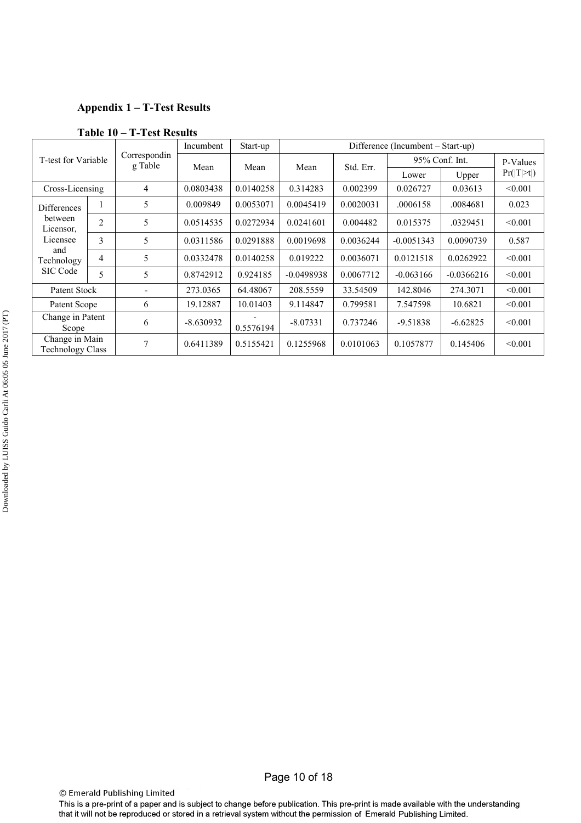# **Appendix 1 – T-Test Results**

|  | Table 10 – T-Test Results |
|--|---------------------------|
|--|---------------------------|

|                                           |                         |      | Incumbent   | Start-up  | Difference (Incumbent – Start-up) |                |              |              |            |
|-------------------------------------------|-------------------------|------|-------------|-----------|-----------------------------------|----------------|--------------|--------------|------------|
| T-test for Variable                       | Correspondin<br>g Table | Mean | Mean        |           |                                   | 95% Conf. Int. |              | P-Values     |            |
|                                           |                         |      |             |           | Mean                              | Std. Err.      | Lower        | Upper        | Pr( T >t ) |
| Cross-Licensing                           |                         | 4    | 0.0803438   | 0.0140258 | 0.314283                          | 0.002399       | 0.026727     | 0.03613      | < 0.001    |
| Differences                               |                         | 5    | 0.009849    | 0.0053071 | 0.0045419                         | 0.0020031      | .0006158     | .0084681     | 0.023      |
| between<br>Licensor,                      | $\overline{2}$          | 5    | 0.0514535   | 0.0272934 | 0.0241601                         | 0.004482       | 0.015375     | .0329451     | < 0.001    |
| Licensee<br>and                           | 3                       | 5    | 0.0311586   | 0.0291888 | 0.0019698                         | 0.0036244      | $-0.0051343$ | 0.0090739    | 0.587      |
| Technology                                | 4                       | 5    | 0.0332478   | 0.0140258 | 0.019222                          | 0.0036071      | 0.0121518    | 0.0262922    | < 0.001    |
| SIC Code                                  | 5                       | 5    | 0.8742912   | 0.924185  | $-0.0498938$                      | 0.0067712      | $-0.063166$  | $-0.0366216$ | < 0.001    |
| Patent Stock                              |                         |      | 273.0365    | 64.48067  | 208.5559                          | 33.54509       | 142.8046     | 274.3071     | < 0.001    |
| Patent Scope                              |                         | 6    | 19.12887    | 10.01403  | 9.114847                          | 0.799581       | 7.547598     | 10.6821      | < 0.001    |
| Change in Patent<br>Scope                 |                         | 6    | $-8.630932$ | 0.5576194 | $-8.07331$                        | 0.737246       | $-9.51838$   | $-6.62825$   | < 0.001    |
| Change in Main<br><b>Technology Class</b> |                         | 7    | 0.6411389   | 0.5155421 | 0.1255968                         | 0.0101063      | 0.1057877    | 0.145406     | < 0.001    |

This is a pre-print of a paper and is subject to change before publication. This pre-print is made available with the understanding that it will not be reproduced or stored in a retrieval system without the permission of Emerald Publishing Limited.

Page 10 of 18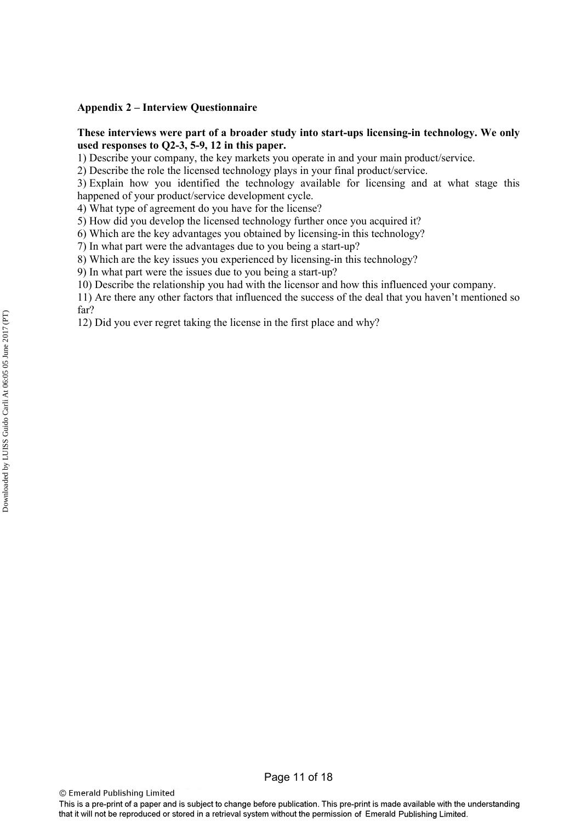## **Appendix 2 – Interview Questionnaire**

## **These interviews were part of a broader study into start-ups licensing-in technology. We only used responses to Q2-3, 5-9, 12 in this paper.**

1) Describe your company, the key markets you operate in and your main product/service.

2) Describe the role the licensed technology plays in your final product/service.

3) Explain how you identified the technology available for licensing and at what stage this happened of your product/service development cycle.

4) What type of agreement do you have for the license?

5) How did you develop the licensed technology further once you acquired it?

6) Which are the key advantages you obtained by licensing-in this technology?

7) In what part were the advantages due to you being a start-up?

8) Which are the key issues you experienced by licensing-in this technology?

9) In what part were the issues due to you being a start-up?

10) Describe the relationship you had with the licensor and how this influenced your company.

11) Are there any other factors that influenced the success of the deal that you haven't mentioned so far?

12) Did you ever regret taking the license in the first place and why?

Page 11 of 18

© Emerald Publishing Limited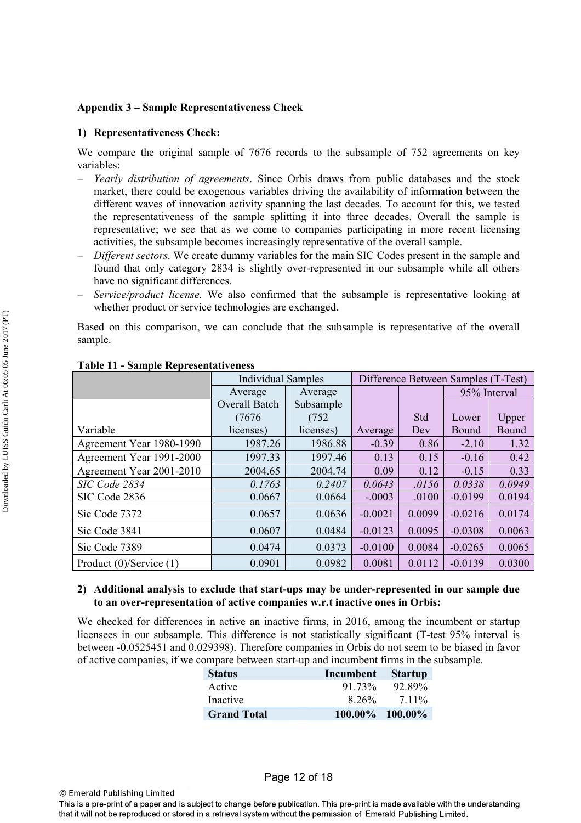# **Appendix 3 – Sample Representativeness Check**

## **1) Representativeness Check:**

We compare the original sample of 7676 records to the subsample of 752 agreements on key variables:

- − *Yearly distribution of agreements*. Since Orbis draws from public databases and the stock market, there could be exogenous variables driving the availability of information between the different waves of innovation activity spanning the last decades. To account for this, we tested the representativeness of the sample splitting it into three decades. Overall the sample is representative; we see that as we come to companies participating in more recent licensing activities, the subsample becomes increasingly representative of the overall sample.
- *Different sectors*. We create dummy variables for the main SIC Codes present in the sample and found that only category 2834 is slightly over-represented in our subsample while all others have no significant differences.
- *Service/product license.* We also confirmed that the subsample is representative looking at whether product or service technologies are exchanged.

Based on this comparison, we can conclude that the subsample is representative of the overall sample.

|                              | <b>Individual Samples</b> |           |           | Difference Between Samples (T-Test) |              |        |
|------------------------------|---------------------------|-----------|-----------|-------------------------------------|--------------|--------|
|                              | Average                   | Average   |           |                                     | 95% Interval |        |
|                              | Overall Batch             | Subsample |           |                                     |              |        |
|                              | (7676)                    | (752)     |           | Std                                 | Lower        | Upper  |
| Variable                     | licenses)                 | licenses) | Average   | Dev                                 | Bound        | Bound  |
| Agreement Year 1980-1990     | 1987.26                   | 1986.88   | $-0.39$   | 0.86                                | $-2.10$      | 1.32   |
| Agreement Year 1991-2000     | 1997.33                   | 1997.46   | 0.13      | 0.15                                | $-0.16$      | 0.42   |
| Agreement Year 2001-2010     | 2004.65                   | 2004.74   | 0.09      | 0.12                                | $-0.15$      | 0.33   |
| SIC Code 2834                | 0.1763                    | 0.2407    | 0.0643    | .0156                               | 0.0338       | 0.0949 |
| SIC Code 2836                | 0.0667                    | 0.0664    | $-.0003$  | .0100                               | $-0.0199$    | 0.0194 |
| Sic Code 7372                | 0.0657                    | 0.0636    | $-0.0021$ | 0.0099                              | $-0.0216$    | 0.0174 |
| Sic Code 3841                | 0.0607                    | 0.0484    | $-0.0123$ | 0.0095                              | $-0.0308$    | 0.0063 |
| Sic Code 7389                | 0.0474                    | 0.0373    | $-0.0100$ | 0.0084                              | $-0.0265$    | 0.0065 |
| Product $(0)$ /Service $(1)$ | 0.0901                    | 0.0982    | 0.0081    | 0.0112                              | $-0.0139$    | 0.0300 |

**Table 11 - Sample Representativeness** 

# **2) Additional analysis to exclude that start-ups may be under-represented in our sample due to an over-representation of active companies w.r.t inactive ones in Orbis:**

We checked for differences in active an inactive firms, in 2016, among the incumbent or startup licensees in our subsample. This difference is not statistically significant (T-test 95% interval is between -0.0525451 and 0.029398). Therefore companies in Orbis do not seem to be biased in favor of active companies, if we compare between start-up and incumbent firms in the subsample.

| <b>Status</b>      | Incumbent | Startup               |
|--------------------|-----------|-----------------------|
| Active             | 91 73%    | 92 89%                |
| Inactive           | $8.26\%$  | 7 1 1 %               |
| <b>Grand Total</b> |           | $100.00\%$ $100.00\%$ |

© Emerald Publishing Limited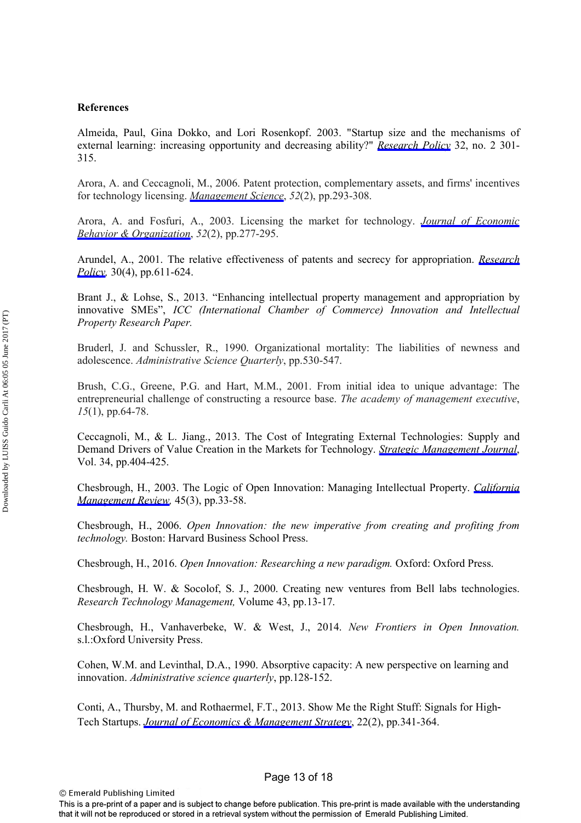#### **References**

Almeida, Paul, Gina Dokko, and Lori Rosenkopf. 2003. "Startup size and the mechanisms of external learning: increasing opportunity and decreasing ability?" *[Research Policy](http://www.emeraldinsight.com/action/showLinks?crossref=10.1016%2FS0048-7333%2802%2900101-4)* 32, no. 2 301- 315.

Arora, A. and Ceccagnoli, M., 2006. Patent protection, complementary assets, and firms' incentives for technology licensing. *[Management Science](http://www.emeraldinsight.com/action/showLinks?crossref=10.1287%2Fmnsc.1050.0437)*, *52*(2), pp.293-308.

Arora, A. and Fosfuri, A., 2003. Licensing the market for technology. *[Journal of Economic](http://www.emeraldinsight.com/action/showLinks?crossref=10.1016%2FS0167-2681%2803%2900002-7) [Behavior & Organization](http://www.emeraldinsight.com/action/showLinks?crossref=10.1016%2FS0167-2681%2803%2900002-7)*, *52*(2), pp.277-295.

Arundel, A., 2001. The relative effectiveness of patents and secrecy for appropriation. *[Research](http://www.emeraldinsight.com/action/showLinks?crossref=10.1016%2FS0048-7333%2800%2900100-1) [Policy,](http://www.emeraldinsight.com/action/showLinks?crossref=10.1016%2FS0048-7333%2800%2900100-1)* 30(4), pp.611-624.

Brant J., & Lohse, S., 2013. "Enhancing intellectual property management and appropriation by innovative SMEs", *ICC (International Chamber of Commerce) Innovation and Intellectual Property Research Paper.* 

Bruderl, J. and Schussler, R., 1990. Organizational mortality: The liabilities of newness and adolescence. *Administrative Science Quarterly*, pp.530-547.

Brush, C.G., Greene, P.G. and Hart, M.M., 2001. From initial idea to unique advantage: The entrepreneurial challenge of constructing a resource base. *The academy of management executive*, *15*(1), pp.64-78.

Ceccagnoli, M., & L. Jiang., 2013. The Cost of Integrating External Technologies: Supply and Demand Drivers of Value Creation in the Markets for Technology. *[Strategic Management Journal](http://www.emeraldinsight.com/action/showLinks?crossref=10.1002%2Fsmj.2020)*, Vol. 34, pp.404-425.

Chesbrough, H., 2003. The Logic of Open Innovation: Managing Intellectual Property. *[California](http://www.emeraldinsight.com/action/showLinks?crossref=10.2307%2F41166175) [Management Review,](http://www.emeraldinsight.com/action/showLinks?crossref=10.2307%2F41166175)* 45(3), pp.33-58.

Chesbrough, H., 2006. *Open Innovation: the new imperative from creating and profiting from technology.* Boston: Harvard Business School Press.

Chesbrough, H., 2016. *Open Innovation: Researching a new paradigm.* Oxford: Oxford Press.

Chesbrough, H. W. & Socolof, S. J., 2000. Creating new ventures from Bell labs technologies. *Research Technology Management,* Volume 43, pp.13-17.

Chesbrough, H., Vanhaverbeke, W. & West, J., 2014. *New Frontiers in Open Innovation.*  s.l.:Oxford University Press.

Cohen, W.M. and Levinthal, D.A., 1990. Absorptive capacity: A new perspective on learning and innovation. *Administrative science quarterly*, pp.128-152.

Conti, A., Thursby, M. and Rothaermel, F.T., 2013. Show Me the Right Stuff: Signals for High‐ Tech Startups. *[Journal of Economics & Management Strategy](http://www.emeraldinsight.com/action/showLinks?crossref=10.1111%2Fjems.12012)*, 22(2), pp.341-364.

This is a pre-print of a paper and is subject to change before publication. This pre-print is made available with the understanding that it will not be reproduced or stored in a retrieval system without the permission of Emerald Publishing Limited.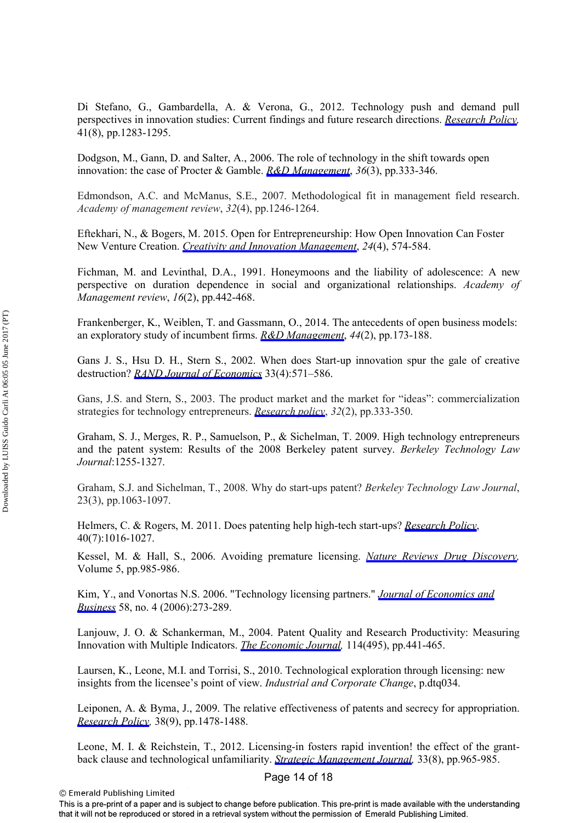Di Stefano, G., Gambardella, A. & Verona, G., 2012. Technology push and demand pull perspectives in innovation studies: Current findings and future research directions. *[Research Policy](http://www.emeraldinsight.com/action/showLinks?crossref=10.1016%2Fj.respol.2012.03.021),*  41(8), pp.1283-1295.

Dodgson, M., Gann, D. and Salter, A., 2006. The role of technology in the shift towards open innovation: the case of Procter & Gamble. *[R&D Management](http://www.emeraldinsight.com/action/showLinks?crossref=10.1111%2Fj.1467-9310.2006.00429.x)*, *36*(3), pp.333-346.

Edmondson, A.C. and McManus, S.E., 2007. Methodological fit in management field research. *Academy of management review*, *32*(4), pp.1246-1264.

Eftekhari, N., & Bogers, M. 2015. Open for Entrepreneurship: How Open Innovation Can Foster New Venture Creation. *[Creativity and Innovation Management](http://www.emeraldinsight.com/action/showLinks?crossref=10.1111%2Fcaim.12136)*, *24*(4), 574-584.

Fichman, M. and Levinthal, D.A., 1991. Honeymoons and the liability of adolescence: A new perspective on duration dependence in social and organizational relationships. *Academy of Management review*, *16*(2), pp.442-468.

Frankenberger, K., Weiblen, T. and Gassmann, O., 2014. The antecedents of open business models: an exploratory study of incumbent firms. *[R&D Management](http://www.emeraldinsight.com/action/showLinks?crossref=10.1111%2Fradm.12040)*, *44*(2), pp.173-188.

Gans J. S., Hsu D. H., Stern S., 2002. When does Start-up innovation spur the gale of creative destruction? *[RAND Journal of Economics](http://www.emeraldinsight.com/action/showLinks?crossref=10.2307%2F3087475)* 33(4):571–586.

Gans, J.S. and Stern, S., 2003. The product market and the market for "ideas": commercialization strategies for technology entrepreneurs. *[Research policy](http://www.emeraldinsight.com/action/showLinks?crossref=10.1016%2FS0048-7333%2802%2900103-8)*, *32*(2), pp.333-350.

Graham, S. J., Merges, R. P., Samuelson, P., & Sichelman, T. 2009. High technology entrepreneurs and the patent system: Results of the 2008 Berkeley patent survey. *Berkeley Technology Law Journal*:1255-1327.

Graham, S.J. and Sichelman, T., 2008. Why do start-ups patent? *Berkeley Technology Law Journal*, 23(3), pp.1063-1097.

Helmers, C. & Rogers, M. 2011. Does patenting help high-tech start-ups? *[Research Policy](http://www.emeraldinsight.com/action/showLinks?crossref=10.1016%2Fj.respol.2011.05.003)*, 40(7):1016-1027.

Kessel, M. & Hall, S., 2006. Avoiding premature licensing. *[Nature Reviews Drug Discovery](http://www.emeraldinsight.com/action/showLinks?crossref=10.1038%2Fnrd2203),*  Volume 5, pp.985-986.

Kim, Y., and Vonortas N.S. 2006. "Technology licensing partners." *[Journal of Economics and](http://www.emeraldinsight.com/action/showLinks?crossref=10.1016%2Fj.jeconbus.2005.10.004) [Business](http://www.emeraldinsight.com/action/showLinks?crossref=10.1016%2Fj.jeconbus.2005.10.004)* 58, no. 4 (2006):273-289.

Lanjouw, J. O. & Schankerman, M., 2004. Patent Quality and Research Productivity: Measuring Innovation with Multiple Indicators. *[The Economic Journal,](http://www.emeraldinsight.com/action/showLinks?crossref=10.1111%2Fj.1468-0297.2004.00216.x)* 114(495), pp.441-465.

Laursen, K., Leone, M.I. and Torrisi, S., 2010. Technological exploration through licensing: new insights from the licensee's point of view. *Industrial and Corporate Change*, p.dtq034.

Leiponen, A. & Byma, J., 2009. The relative effectiveness of patents and secrecy for appropriation. *[Research Policy,](http://www.emeraldinsight.com/action/showLinks?crossref=10.1016%2Fj.respol.2009.06.003)* 38(9), pp.1478-1488.

Leone, M. I. & Reichstein, T., 2012. Licensing-in fosters rapid invention! the effect of the grantback clause and technological unfamiliarity. *[Strategic Management Journal,](http://www.emeraldinsight.com/action/showLinks?crossref=10.1002%2Fsmj.1950)* 33(8), pp.965-985.

#### Page 14 of 18

© Emerald Publishing Limited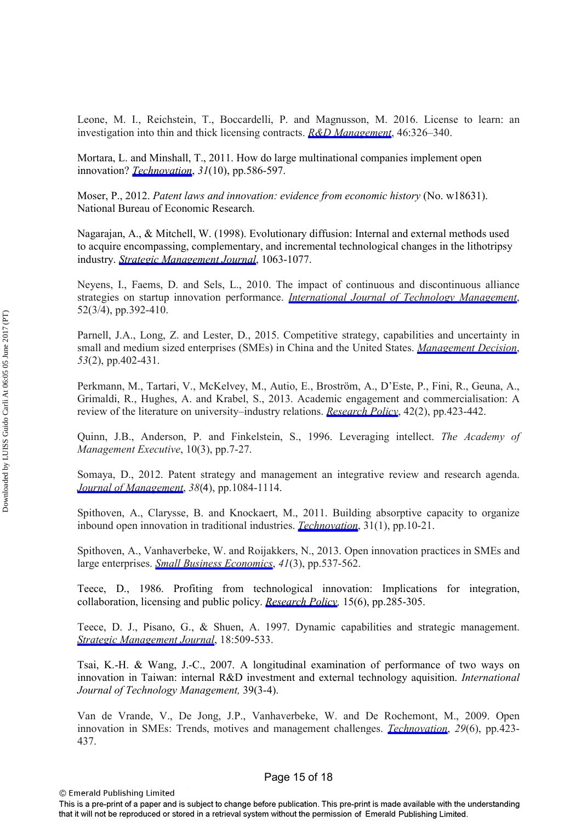Leone, M. I., Reichstein, T., Boccardelli, P. and Magnusson, M. 2016. License to learn: an investigation into thin and thick licensing contracts. *[R&D Management](http://www.emeraldinsight.com/action/showLinks?crossref=10.1111%2Fradm.12187)*, 46:326–340.

Mortara, L. and Minshall, T., 2011. How do large multinational companies implement open innovation? *[Technovation](http://www.emeraldinsight.com/action/showLinks?crossref=10.1016%2Fj.technovation.2011.05.002)*, *31*(10), pp.586-597.

Moser, P., 2012. *Patent laws and innovation: evidence from economic history* (No. w18631). National Bureau of Economic Research.

Nagarajan, A., & Mitchell, W. (1998). Evolutionary diffusion: Internal and external methods used to acquire encompassing, complementary, and incremental technological changes in the lithotripsy industry. *[Strategic Management Journal](http://www.emeraldinsight.com/action/showLinks?crossref=10.1002%2F%28SICI%291097-0266%281998110%2919%3A11%3C1063%3A%3AAID-SMJ993%3E3.0.CO%3B2-W)*, 1063-1077.

Neyens, I., Faems, D. and Sels, L., 2010. The impact of continuous and discontinuous alliance strategies on startup innovation performance. *[International Journal of Technology Management](http://www.emeraldinsight.com/action/showLinks?crossref=10.1504%2FIJTM.2010.035982)*, 52(3/4), pp.392-410.

Parnell, J.A., Long, Z. and Lester, D., 2015. Competitive strategy, capabilities and uncertainty in small and medium sized enterprises (SMEs) in China and the United States. *[Management Decision](http://www.emeraldinsight.com/action/showLinks?system=10.1108%2FMD-04-2014-0222)*, *53*(2), pp.402-431.

Perkmann, M., Tartari, V., McKelvey, M., Autio, E., Broström, A., D'Este, P., Fini, R., Geuna, A., Grimaldi, R., Hughes, A. and Krabel, S., 2013. Academic engagement and commercialisation: A review of the literature on university–industry relations. *[Research Policy](http://www.emeraldinsight.com/action/showLinks?crossref=10.1016%2Fj.respol.2012.09.007)*, 42(2), pp.423-442.

Quinn, J.B., Anderson, P. and Finkelstein, S., 1996. Leveraging intellect. *The Academy of Management Executive*, 10(3), pp.7-27.

Somaya, D., 2012. Patent strategy and management an integrative review and research agenda. *[Journal of Management](http://www.emeraldinsight.com/action/showLinks?crossref=10.1177%2F0149206312444447)*, *38*(4), pp.1084-1114.

Spithoven, A., Clarysse, B. and Knockaert, M., 2011. Building absorptive capacity to organize inbound open innovation in traditional industries. *[Technovation](http://www.emeraldinsight.com/action/showLinks?crossref=10.1016%2Fj.technovation.2010.10.003)*, 31(1), pp.10-21.

Spithoven, A., Vanhaverbeke, W. and Roijakkers, N., 2013. Open innovation practices in SMEs and large enterprises. *[Small Business Economics](http://www.emeraldinsight.com/action/showLinks?crossref=10.1007%2Fs11187-012-9453-9)*, *41*(3), pp.537-562.

Teece, D., 1986. Profiting from technological innovation: Implications for integration, collaboration, licensing and public policy. *[Research Policy](http://www.emeraldinsight.com/action/showLinks?crossref=10.1016%2F0048-7333%2886%2990027-2),* 15(6), pp.285-305.

Teece, D. J., Pisano, G., & Shuen, A. 1997. Dynamic capabilities and strategic management. *[Strategic Management Journal](http://www.emeraldinsight.com/action/showLinks?crossref=10.1002%2F%28SICI%291097-0266%28199708%2918%3A7%3C509%3A%3AAID-SMJ882%3E3.0.CO%3B2-Z)*, 18:509-533.

Tsai, K.-H. & Wang, J.-C., 2007. A longitudinal examination of performance of two ways on innovation in Taiwan: internal R&D investment and external technology aquisition. *International Journal of Technology Management,* 39(3-4).

Van de Vrande, V., De Jong, J.P., Vanhaverbeke, W. and De Rochemont, M., 2009. Open innovation in SMEs: Trends, motives and management challenges. *[Technovation](http://www.emeraldinsight.com/action/showLinks?crossref=10.1016%2Fj.technovation.2008.10.001)*, *29*(6), pp.423- 437.

#### Page 15 of 18

This is a pre-print of a paper and is subject to change before publication. This pre-print is made available with the understanding that it will not be reproduced or stored in a retrieval system without the permission of Emerald Publishing Limited.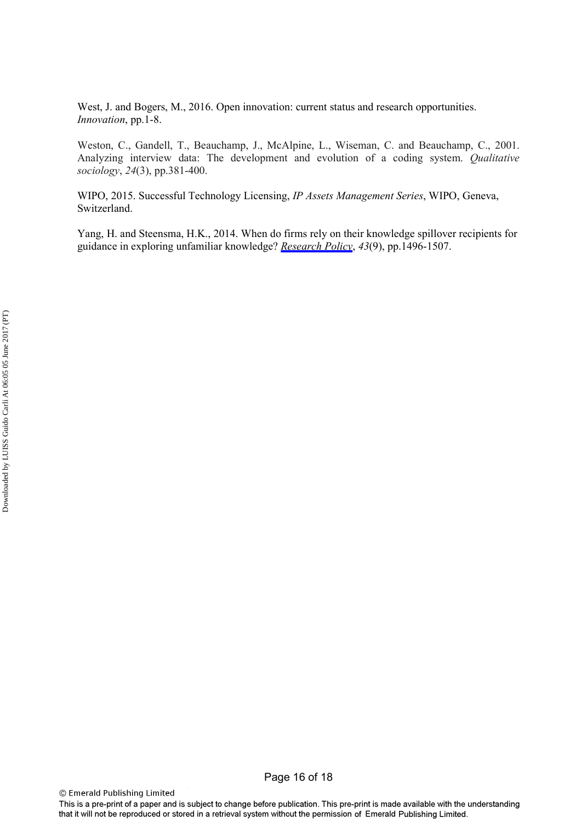West, J. and Bogers, M., 2016. Open innovation: current status and research opportunities. *Innovation*, pp.1-8.

Weston, C., Gandell, T., Beauchamp, J., McAlpine, L., Wiseman, C. and Beauchamp, C., 2001. Analyzing interview data: The development and evolution of a coding system. *Qualitative sociology*, *24*(3), pp.381-400.

WIPO, 2015. Successful Technology Licensing, *IP Assets Management Series*, WIPO, Geneva, Switzerland.

Yang, H. and Steensma, H.K., 2014. When do firms rely on their knowledge spillover recipients for guidance in exploring unfamiliar knowledge? *[Research Policy](http://www.emeraldinsight.com/action/showLinks?crossref=10.1016%2Fj.respol.2014.04.016)*, *43*(9), pp.1496-1507.

© Emerald Publishing Limited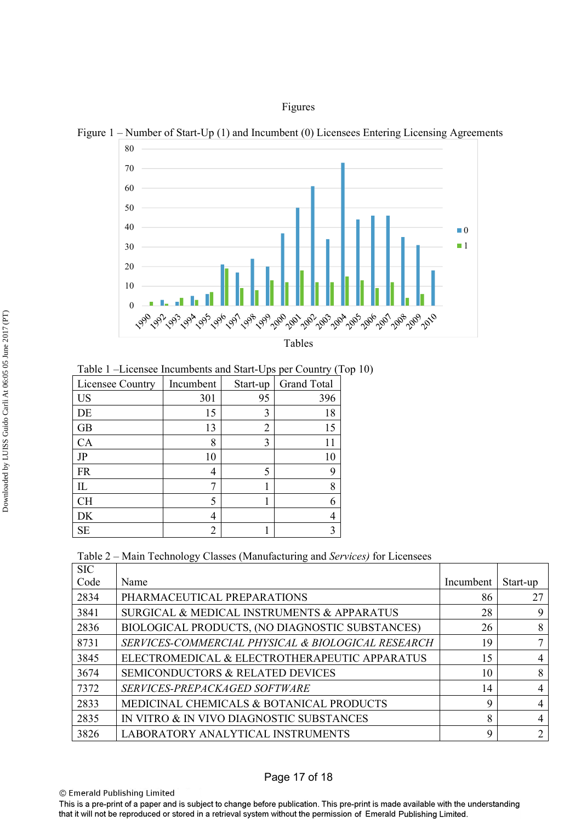# Figures

Figure 1 – Number of Start-Up (1) and Incumbent (0) Licensees Entering Licensing Agreements



Table 1 –Licensee Incumbents and Start-Ups per Country (Top 10)

| Licensee Country | Incumbent | Start-up | <b>Grand Total</b> |
|------------------|-----------|----------|--------------------|
| <b>US</b>        | 301       | 95       | 396                |
| DE               | 15        | 3        | 18                 |
| <b>GB</b>        | 13        | 2        | 15                 |
| CA               | 8         | 3        | 11                 |
| JP               | 10        |          | 10                 |
| <b>FR</b>        | 4         | 5        | 9                  |
| $_{\rm IL}$      | 7         |          | 8                  |
| <b>CH</b>        | 5         |          | 6                  |
| DK               | 4         |          | 4                  |
| <b>SE</b>        | 2         |          | 3                  |

Table 2 – Main Technology Classes (Manufacturing and *Services)* for Licensees

| <b>SIC</b> |                                                    |             |                |
|------------|----------------------------------------------------|-------------|----------------|
| Code       | Name                                               | Incumbent   | Start-up       |
| 2834       | PHARMACEUTICAL PREPARATIONS                        | 86          | 27             |
| 3841       | SURGICAL & MEDICAL INSTRUMENTS & APPARATUS         | 28          | 9              |
| 2836       | BIOLOGICAL PRODUCTS, (NO DIAGNOSTIC SUBSTANCES)    | 26          | 8              |
| 8731       | SERVICES-COMMERCIAL PHYSICAL & BIOLOGICAL RESEARCH | 19          | 7              |
| 3845       | ELECTROMEDICAL & ELECTROTHERAPEUTIC APPARATUS      | 15          | 4              |
| 3674       | SEMICONDUCTORS & RELATED DEVICES                   | 10          | 8              |
| 7372       | SERVICES-PREPACKAGED SOFTWARE                      | 14          | 4              |
| 2833       | MEDICINAL CHEMICALS & BOTANICAL PRODUCTS           | 9           | $\overline{4}$ |
| 2835       | IN VITRO & IN VIVO DIAGNOSTIC SUBSTANCES           | 8           | 4              |
| 3826       | LABORATORY ANALYTICAL INSTRUMENTS                  | $\mathbf Q$ | $\overline{2}$ |

# Page 17 of 18

© Emerald Publishing Limited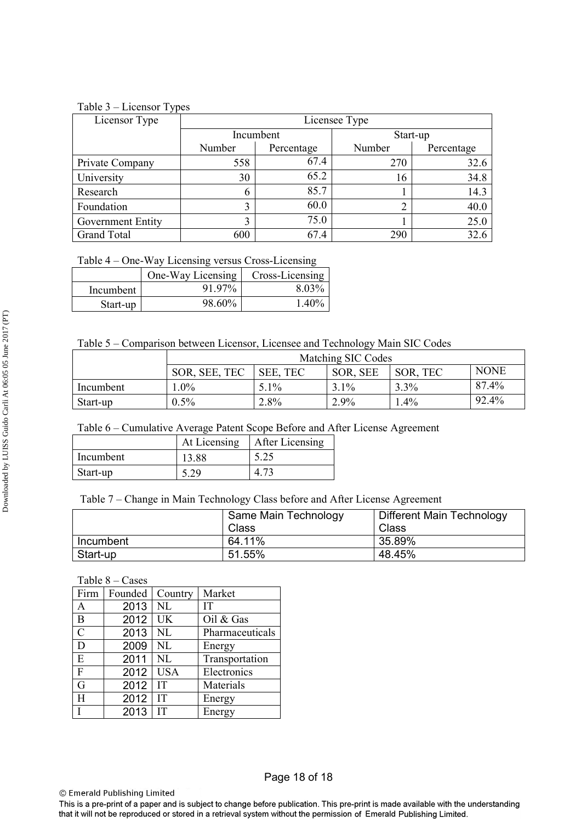## Table 3 – Licensor Types

| . .<br>Licensor Type | Licensee Type |            |          |            |  |  |
|----------------------|---------------|------------|----------|------------|--|--|
|                      |               | Incumbent  | Start-up |            |  |  |
|                      | Number        | Percentage | Number   | Percentage |  |  |
| Private Company      | 558           | 67.4       | 270      | 32.6       |  |  |
| University           | 30            | 65.2       | 16       | 34.8       |  |  |
| Research             | h             | 85.7       |          | 14.3       |  |  |
| Foundation           |               | 60.0       |          | 40.0       |  |  |
| Government Entity    |               | 75.0       |          | 25.0       |  |  |
| <b>Grand Total</b>   | 600           | 67.4       | 290      | 32.6       |  |  |

# Table 4 – One-Way Licensing versus Cross-Licensing

|           | One-Way Licensing | Cross-Licensing |
|-----------|-------------------|-----------------|
| Incumbent | 91.97%            | 8.03%           |
| Start-up  | 98.60%            | 1.40%           |

# Table 5 – Comparison between Licensor, Licensee and Technology Main SIC Codes

|           | Matching SIC Codes |          |          |                    |             |  |
|-----------|--------------------|----------|----------|--------------------|-------------|--|
|           | SOR, SEE, TEC      | SEE, TEC | SOR, SEE | <b>TEC</b><br>SOR. | <b>NONE</b> |  |
| Incumbent | $1.0\%$            | 5.1%     | 3.1%     | 3.3%               | 87.4%       |  |
| Start-up  | 0.5%               | 2.8%     | 2.9%     | $.4\%$             | 92.4%       |  |

# Table 6 – Cumulative Average Patent Scope Before and After License Agreement

|           | At Licensing | After Licensing |
|-----------|--------------|-----------------|
| Incumbent | 13.88        | 5.25            |
| Start-up  | 5.29         | 4.73            |

# Table 7 – Change in Main Technology Class before and After License Agreement

|           | Same Main Technology<br>Class | Different Main Technology<br>Class |
|-----------|-------------------------------|------------------------------------|
| Incumbent | 64.11%                        | 35.89%                             |
| Start-up  | 51.55%                        | 48.45%                             |

Table 8 – Cases

| Firm          | Founded | Country    | Market          |
|---------------|---------|------------|-----------------|
| А             | 2013    | NL         | IT              |
| B             | 2012    | <b>UK</b>  | Oil & Gas       |
| $\mathcal{C}$ | 2013    | NL         | Pharmaceuticals |
| D             | 2009    | NL         | Energy          |
| E             | 2011    | NL         | Transportation  |
| F             | 2012    | <b>USA</b> | Electronics     |
| G             | 2012    | IT         | Materials       |
| H             | 2012    | IT         | Energy          |
|               | 2013    | <b>IT</b>  | Energy          |

© Emerald Publishing Limited